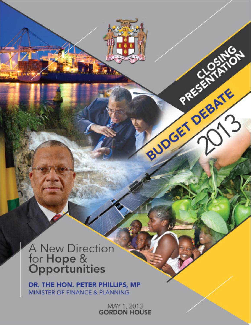# A New Direction<br>for **Hope** &<br>**Opportunities**

DR. THE HON. PETER PHILLIPS, MP MINISTER OF FINANCE & PLANNING

MAY 1, 2013<br>GORDON HOUSE

BUDGET DEBATE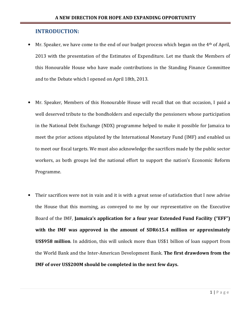#### INTRODUCTION:

- Mr. Speaker, we have come to the end of our budget process which began on the 4<sup>th</sup> of April, 2013 with the presentation of the Estimates of Expenditure. Let me thank the Members of this Honourable House who have made contributions in the Standing Finance Committee and to the Debate which I opened on April 18th, 2013.
- Mr. Speaker, Members of this Honourable House will recall that on that occasion, I paid a well deserved tribute to the bondholders and especially the pensioners whose participation in the National Debt Exchange (NDX) programme helped to make it possible for Jamaica to meet the prior actions stipulated by the International Monetary Fund (IMF) and enabled us to meet our fiscal targets. We must also acknowledge the sacrifices made by the public sector workers, as both groups led the national effort to support the nation's Economic Reform Programme.
- Their sacrifices were not in vain and it is with a great sense of satisfaction that I now advise the House that this morning, as conveyed to me by our representative on the Executive Board of the IMF, Jamaica's application for a four year Extended Fund Facility ("EFF") with the IMF was approved in the amount of SDR615.4 million or approximately US\$958 million. In addition, this will unlock more than US\$1 billion of loan support from the World Bank and the Inter-American Development Bank. The first drawdown from the IMF of over US\$200M should be completed in the next few days.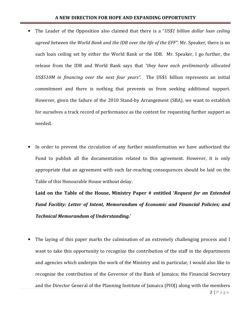- The Leader of the Opposition also claimed that there is a "US\$1 billion dollar loan ceiling agreed between the World Bank and the IDB over the life of the EFF". Mr. Speaker, there is no such loan ceiling set by either the World Bank or the IDB. Mr. Speaker, I go further, the release from the IDB and World Bank says that "they have each preliminarily allocated US\$510M in financing over the next four years". The US\$1 billion represents an initial commitment and there is nothing that prevents us from seeking additional support. However, given the failure of the 2010 Stand-by Arrangement (SBA), we want to establish for ourselves a track record of performance as the context for requesting further support as needed.
- In order to prevent the circulation of any further misinformation we have authorized the Fund to publish all the documentation related to this agreement. However, it is only appropriate that an agreement with such far-reaching consequences should be laid on the Table of this Honourable House without delay.

Laid on the Table of the House, Ministry Paper # entitled 'Request for an Extended Fund Facility: Letter of Intent, Memorandum of Economic and Financial Policies; and Technical Memorandum of Understanding.'

The laying of this paper marks the culmination of an extremely challenging process and I want to take this opportunity to recognize the contribution of the staff in the departments and agencies which underpin the work of the Ministry and in particular, I would also like to recognize the contribution of the Governor of the Bank of Jamaica; the Financial Secretary and the Director General of the Planning Institute of Jamaica (PIOJ) along with the members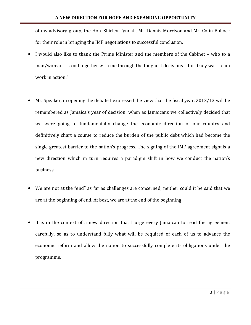of my advisory group, the Hon. Shirley Tyndall, Mr. Dennis Morrison and Mr. Colin Bullock for their role in bringing the IMF negotiations to successful conclusion.

- I would also like to thank the Prime Minister and the members of the Cabinet who to a man/woman – stood together with me through the toughest decisions – this truly was "team work in action."
- Mr. Speaker, in opening the debate I expressed the view that the fiscal year, 2012/13 will be remembered as Jamaica's year of decision; when as Jamaicans we collectively decided that we were going to fundamentally change the economic direction of our country and definitively chart a course to reduce the burden of the public debt which had become the single greatest barrier to the nation's progress. The signing of the IMF agreement signals a new direction which in turn requires a paradigm shift in how we conduct the nation's business.
- We are not at the "end" as far as challenges are concerned; neither could it be said that we are at the beginning of end. At best, we are at the end of the beginning
- It is in the context of a new direction that I urge every Jamaican to read the agreement carefully, so as to understand fully what will be required of each of us to advance the economic reform and allow the nation to successfully complete its obligations under the programme.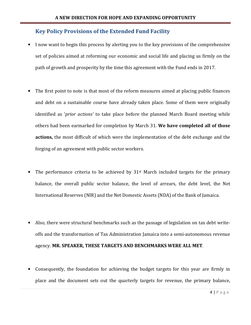# Key Policy Provisions of the Extended Fund Facility

- I now want to begin this process by alerting you to the key provisions of the comprehensive set of policies aimed at reforming our economic and social life and placing us firmly on the path of growth and prosperity by the time this agreement with the Fund ends in 2017.
- The first point to note is that most of the reform measures aimed at placing public finances and debt on a sustainable course have already taken place. Some of them were originally identified as 'prior actions' to take place before the planned March Board meeting while others had been earmarked for completion by March 31. We have completed all of those actions, the most difficult of which were the implementation of the debt exchange and the forging of an agreement with public sector workers.
- The performance criteria to be achieved by 31<sup>st</sup> March included targets for the primary balance, the overall public sector balance, the level of arrears, the debt level, the Net International Reserves (NIR) and the Net Domestic Assets (NDA) of the Bank of Jamaica.
- Also, there were structural benchmarks such as the passage of legislation on tax debt writeoffs and the transformation of Tax Administration Jamaica into a semi-autonomous revenue agency. MR. SPEAKER, THESE TARGETS AND BENCHMARKS WERE ALL MET.
- Consequently, the foundation for achieving the budget targets for this year are firmly in place and the document sets out the quarterly targets for revenue, the primary balance,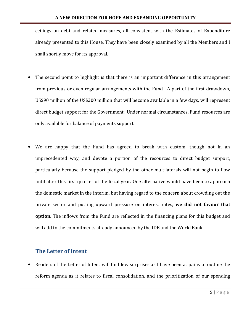ceilings on debt and related measures, all consistent with the Estimates of Expenditure already presented to this House. They have been closely examined by all the Members and I shall shortly move for its approval.

- The second point to highlight is that there is an important difference in this arrangement from previous or even regular arrangements with the Fund. A part of the first drawdown, US\$90 million of the US\$200 million that will become available in a few days, will represent direct budget support for the Government. Under normal circumstances, Fund resources are only available for balance of payments support.
- We are happy that the Fund has agreed to break with custom, though not in an unprecedented way, and devote a portion of the resources to direct budget support, particularly because the support pledged by the other multilaterals will not begin to flow until after this first quarter of the fiscal year. One alternative would have been to approach the domestic market in the interim, but having regard to the concern about crowding out the private sector and putting upward pressure on interest rates, we did not favour that option. The inflows from the Fund are reflected in the financing plans for this budget and will add to the commitments already announced by the IDB and the World Bank.

# The Letter of Intent

• Readers of the Letter of Intent will find few surprises as I have been at pains to outline the reform agenda as it relates to fiscal consolidation, and the prioritization of our spending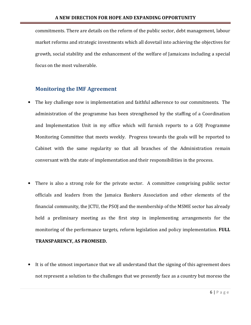commitments. There are details on the reform of the public sector, debt management, labour market reforms and strategic investments which all dovetail into achieving the objectives for growth, social stability and the enhancement of the welfare of Jamaicans including a special focus on the most vulnerable.

# Monitoring the IMF Agreement

- The key challenge now is implementation and faithful adherence to our commitments. The administration of the programme has been strengthened by the staffing of a Coordination and Implementation Unit in my office which will furnish reports to a GOJ Programme Monitoring Committee that meets weekly. Progress towards the goals will be reported to Cabinet with the same regularity so that all branches of the Administration remain conversant with the state of implementation and their responsibilities in the process.
- There is also a strong role for the private sector. A committee comprising public sector officials and leaders from the Jamaica Bankers Association and other elements of the financial community, the JCTU, the PSOJ and the membership of the MSME sector has already held a preliminary meeting as the first step in implementing arrangements for the monitoring of the performance targets, reform legislation and policy implementation. FULL

#### TRANSPARENCY, AS PROMISED.

• It is of the utmost importance that we all understand that the signing of this agreement does not represent a solution to the challenges that we presently face as a country but moreso the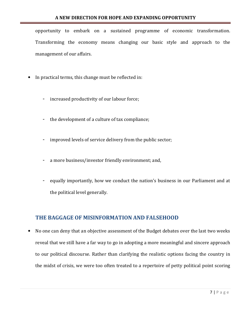opportunity to embark on a sustained programme of economic transformation. Transforming the economy means changing our basic style and approach to the management of our affairs.

- In practical terms, this change must be reflected in:
	- increased productivity of our labour force;
	- the development of a culture of tax compliance;
	- improved levels of service delivery from the public sector;
	- a more business/investor friendly environment; and,
	- equally importantly, how we conduct the nation's business in our Parliament and at the political level generally.

# THE BAGGAGE OF MISINFORMATION AND FALSEHOOD

• No one can deny that an objective assessment of the Budget debates over the last two weeks reveal that we still have a far way to go in adopting a more meaningful and sincere approach to our political discourse. Rather than clarifying the realistic options facing the country in the midst of crisis, we were too often treated to a repertoire of petty political point scoring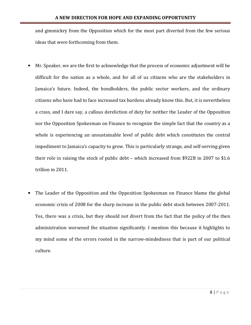and gimmickry from the Opposition which for the most part diverted from the few serious ideas that were forthcoming from them.

- Mr. Speaker, we are the first to acknowledge that the process of economic adjustment will be difficult for the nation as a whole, and for all of us citizens who are the stakeholders in Jamaica's future. Indeed, the bondholders, the public sector workers, and the ordinary citizens who have had to face increased tax burdens already know this. But, it is nevertheless a crass, and I dare say, a callous dereliction of duty for neither the Leader of the Opposition nor the Opposition Spokesman on Finance to recognize the simple fact that the country as a whole is experiencing an unsustainable level of public debt which constitutes the central impediment to Jamaica's capacity to grow. This is particularly strange, and self-serving given their role in raising the stock of public debt – which increased from \$922B in 2007 to \$1.6 trillion in 2011.
- The Leader of the Opposition and the Opposition Spokesman on Finance blame the global economic crisis of 2008 for the sharp increase in the public debt stock between 2007-2011. Yes, there was a crisis, but they should not divert from the fact that the policy of the then administration worsened the situation significantly. I mention this because it highlights to my mind some of the errors rooted in the narrow-mindedness that is part of our political culture.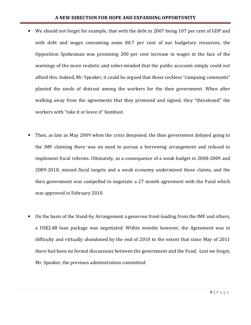- We should not forget for example, that with the debt in 2007 being 107 per cent of GDP and with debt and wages consuming some 80.7 per cent of our budgetary resources, the Opposition Spokesman was promising 200 per cent increase in wages in the face of the warnings of the more realistic and sober-minded that the public accounts simply could not afford this. Indeed, Mr. Speaker, it could be argued that those reckless "campaing comments" planted the seeds of distrust among the workers for the then government. When after walking away from the agreements that they promised and signed, they "threatened" the workers with "take it or leave it" bombast.
- Then, as late as May 2009 when the crisis deepened, the then government delayed going to the IMF claiming there was no need to pursue a borrowing arrangement and refused to implement fiscal reforms. Ultimately, as a consequence of a weak budget in 2008-2009 and 2009-2010, missed fiscal targets and a weak economy undermined those claims, and the then government was compelled to negotiate a 27 month agreement with the Fund which was approved in February 2010.
- On the basis of the Stand-by Arrangement a generous front-loading from the IMF and others, a US\$2.4B loan package was negotiated. Within months however, the Agreement was in difficulty and virtually abandoned by the end of 2010 to the extent that since May of 2011 there had been no formal discussions between the government and the Fund. Lest we forget, Mr. Speaker, the previous administration committed: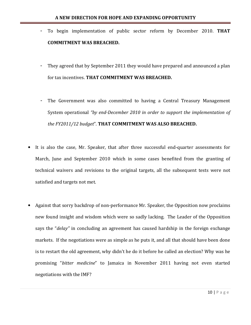- To begin implementation of public sector reform by December 2010. THAT COMMITMENT WAS BREACHED.
- They agreed that by September 2011 they would have prepared and announced a plan for tax incentives. THAT COMMITMENT WAS BREACHED.
- The Government was also committed to having a Central Treasury Management System operational "by end-December 2010 in order to support the implementation of the FY2011/12 budget". THAT COMMITMENT WAS ALSO BREACHED.
- It is also the case, Mr. Speaker, that after three successful end-quarter assessments for March, June and September 2010 which in some cases benefited from the granting of technical waivers and revisions to the original targets, all the subsequent tests were not satisfied and targets not met.
- Against that sorry backdrop of non-performance Mr. Speaker, the Opposition now proclaims new found insight and wisdom which were so sadly lacking. The Leader of the Opposition says the "delay" in concluding an agreement has caused hardship in the foreign exchange markets. If the negotiations were as simple as he puts it, and all that should have been done is to restart the old agreement, why didn't he do it before he called an election? Why was he promising "bitter medicine" to Jamaica in November 2011 having not even started negotiations with the IMF?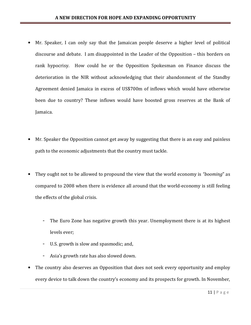- Mr. Speaker, I can only say that the Jamaican people deserve a higher level of political discourse and debate. I am disappointed in the Leader of the Opposition – this borders on rank hypocrisy. How could he or the Opposition Spokesman on Finance discuss the deterioration in the NIR without acknowledging that their abandonment of the Standby Agreement denied Jamaica in excess of US\$700m of inflows which would have otherwise been due to country? These inflows would have boosted gross reserves at the Bank of Jamaica.
- Mr. Speaker the Opposition cannot get away by suggesting that there is an easy and painless path to the economic adjustments that the country must tackle.
- They ought not to be allowed to propound the view that the world economy is "*booming*" as compared to 2008 when there is evidence all around that the world-economy is still feeling the effects of the global crisis.
	- The Euro Zone has negative growth this year. Unemployment there is at its highest levels ever;
	- U.S. growth is slow and spasmodic; and,
	- Asia's growth rate has also slowed down.
- The country also deserves an Opposition that does not seek every opportunity and employ every device to talk down the country's economy and its prospects for growth. In November,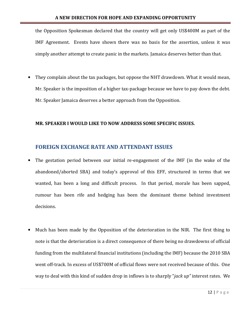the Opposition Spokesman declared that the country will get only US\$400M as part of the IMF Agreement. Events have shown there was no basis for the assertion, unless it was simply another attempt to create panic in the markets. Jamaica deserves better than that.

• They complain about the tax packages, but oppose the NHT drawdown. What it would mean, Mr. Speaker is the imposition of a higher tax-package because we have to pay down the debt. Mr. Speaker Jamaica deserves a better approach from the Opposition.

#### MR. SPEAKER I WOULD LIKE TO NOW ADDRESS SOME SPECIFIC ISSUES.

# FOREIGN EXCHANGE RATE AND ATTENDANT ISSUES

- The gestation period between our initial re-engagement of the IMF (in the wake of the abandoned/aborted SBA) and today's approval of this EFF, structured in terms that we wanted, has been a long and difficult process. In that period, morale has been sapped, rumour has been rife and hedging has been the dominant theme behind investment decisions.
- Much has been made by the Opposition of the deterioration in the NIR. The first thing to note is that the deterioration is a direct consequence of there being no drawdowns of official funding from the multilateral financial institutions (including the IMF) because the 2010 SBA went off-track. In excess of US\$700M of official flows were not received because of this. One way to deal with this kind of sudden drop in inflows is to sharply "jack up" interest rates. We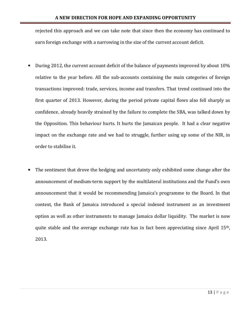rejected this approach and we can take note that since then the economy has continued to earn foreign exchange with a narrowing in the size of the current account deficit.

- During 2012, the current account deficit of the balance of payments improved by about 10% relative to the year before. All the sub-accounts containing the main categories of foreign transactions improved: trade, services, income and transfers. That trend continued into the first quarter of 2013. However, during the period private capital flows also fell sharply as confidence, already heavily strained by the failure to complete the SBA, was talked down by the Opposition. This behaviour hurts. It hurts the Jamaican people. It had a clear negative impact on the exchange rate and we had to struggle, further using up some of the NIR, in order to stabilise it.
- The sentiment that drove the hedging and uncertainty only exhibited some change after the announcement of medium-term support by the multilateral institutions and the Fund's own announcement that it would be recommending Jamaica's programme to the Board. In that context, the Bank of Jamaica introduced a special indexed instrument as an investment option as well as other instruments to manage Jamaica dollar liquidity. The market is now quite stable and the average exchange rate has in fact been appreciating since April 15th, 2013.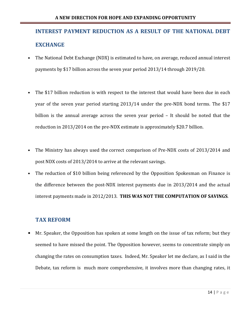# INTEREST PAYMENT REDUCTION AS A RESULT OF THE NATIONAL DEBT EXCHANGE

- The National Debt Exchange (NDX) is estimated to have, on average, reduced annual interest payments by \$17 billion across the seven year period 2013/14 through 2019/20.
- The \$17 billion reduction is with respect to the interest that would have been due in each year of the seven year period starting 2013/14 under the pre-NDX bond terms. The \$17 billion is the annual average across the seven year period – It should be noted that the reduction in 2013/2014 on the pre-NDX estimate is approximately \$20.7 billion.
- The Ministry has always used the correct comparison of Pre-NDX costs of 2013/2014 and post NDX costs of 2013/2014 to arrive at the relevant savings.
- The reduction of \$10 billion being referenced by the Opposition Spokesman on Finance is the difference between the post-NDX interest payments due in 2013/2014 and the actual interest payments made in 2012/2013. THIS WAS NOT THE COMPUTATION OF SAVINGS.

# TAX REFORM

• Mr. Speaker, the Opposition has spoken at some length on the issue of tax reform; but they seemed to have missed the point. The Opposition however, seems to concentrate simply on changing the rates on consumption taxes. Indeed, Mr. Speaker let me declare, as I said in the Debate, tax reform is much more comprehensive, it involves more than changing rates, it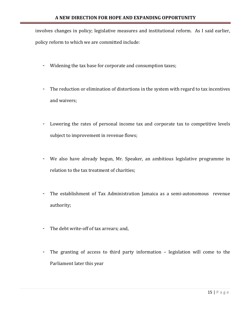involves changes in policy; legislative measures and institutional reform. As I said earlier, policy reform to which we are committed include:

- Widening the tax base for corporate and consumption taxes;
- The reduction or elimination of distortions in the system with regard to tax incentives and waivers;
- Lowering the rates of personal income tax and corporate tax to competitive levels subject to improvement in revenue flows;
- We also have already begun, Mr. Speaker, an ambitious legislative programme in relation to the tax treatment of charities;
- The establishment of Tax Administration Jamaica as a semi-autonomous revenue authority;
- The debt write-off of tax arrears; and,
- The granting of access to third party information legislation will come to the Parliament later this year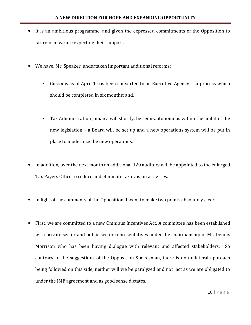- It is an ambitious programme, and given the expressed commitments of the Opposition to tax reform we are expecting their support.
- We have, Mr. Speaker, undertaken important additional reforms:
	- Customs as of April 1 has been converted to an Executive Agency a process which should be completed in six months; and,
	- Tax Administration Jamaica will shortly, be semi-autonomous within the ambit of the new legislation – a Board will be set up and a new operations system will be put in place to modernize the new operations.
- In addition, over the next month an additional 120 auditors will be appointed to the enlarged Tax Payers Office to reduce and eliminate tax evasion activities.
- In light of the comments of the Opposition, I want to make two points absolutely clear.
- First, we are committed to a new Omnibus Incentives Act. A committee has been established with private sector and public sector representatives under the chairmanship of Mr. Dennis Morrison who has been having dialogue with relevant and affected stakeholders. So contrary to the suggestions of the Opposition Spokesman, there is no unilateral approach being followed on this side, neither will we be paralyzed and not act as we are obligated to under the IMF agreement and as good sense dictates.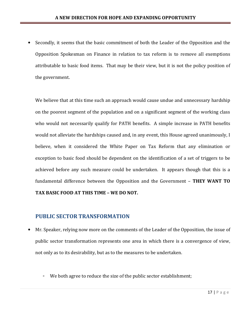• Secondly, it seems that the basic commitment of both the Leader of the Opposition and the Opposition Spokesman on Finance in relation to tax reform is to remove all exemptions attributable to basic food items. That may be their view, but it is not the policy position of the government.

We believe that at this time such an approach would cause undue and unnecessary hardship on the poorest segment of the population and on a significant segment of the working class who would not necessarily qualify for PATH benefits. A simple increase in PATH benefits would not alleviate the hardships caused and, in any event, this House agreed unanimously, I believe, when it considered the White Paper on Tax Reform that any elimination or exception to basic food should be dependent on the identification of a set of triggers to be achieved before any such measure could be undertaken. It appears though that this is a fundamental difference between the Opposition and the Government – THEY WANT TO TAX BASIC FOOD AT THIS TIME – WE DO NOT.

# PUBLIC SECTOR TRANSFORMATION

- Mr. Speaker, relying now more on the comments of the Leader of the Opposition, the issue of public sector transformation represents one area in which there is a convergence of view, not only as to its desirability, but as to the measures to be undertaken.
	- We both agree to reduce the size of the public sector establishment;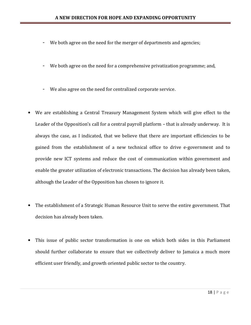- We both agree on the need for the merger of departments and agencies;
- We both agree on the need for a comprehensive privatization programme; and,
- We also agree on the need for centralized corporate service.
- We are establishing a Central Treasury Management System which will give effect to the Leader of the Opposition's call for a central payroll platform – that is already underway. It is always the case, as I indicated, that we believe that there are important efficiencies to be gained from the establishment of a new technical office to drive e-government and to provide new ICT systems and reduce the cost of communication within government and enable the greater utilization of electronic transactions. The decision has already been taken, although the Leader of the Opposition has chosen to ignore it.
- The establishment of a Strategic Human Resource Unit to serve the entire government. That decision has already been taken.
- This issue of public sector transformation is one on which both sides in this Parliament should further collaborate to ensure that we collectively deliver to Jamaica a much more efficient user friendly, and growth oriented public sector to the country.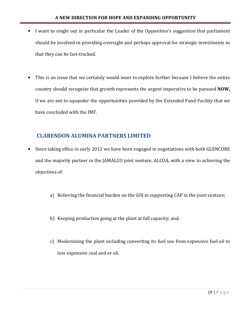- I want to single out in particular the Leader of the Opposition's suggestion that parliament should be involved in providing oversight and perhaps approval for strategic investments so that they can be fast-tracked.
- This is an issue that we certainly would want to explore further because I believe the entire country should recognize that growth represents the urgent imperative to be pursued NOW, if we are not to squander the opportunities provided by the Extended Fund Facility that we have concluded with the IMF.

# CLARENDON ALUMINA PARTNERS LIMITED

- Since taking office in early 2012 we have been engaged in negotiations with both GLENCORE and the majority partner in the JAMALCO joint venture, ALCOA, with a view to achieving the objectives of:
	- a) Relieving the financial burden on the GOJ in supporting CAP in the joint venture;
	- b) Keeping production going at the plant at full capacity; and,
	- c) Modernizing the plant including converting its fuel use from expensive fuel oil to less expensive coal and or oil.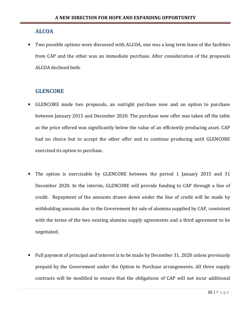### ALCOA

Two possible options were discussed with ALCOA, one was a long term lease of the facilities from CAP and the other was an immediate purchase. After consideration of the proposals ALCOA declined both.

# **GLENCORE**

- GLENCORE made two proposals, an outright purchase now and an option to purchase between January 2015 and December 2020. The purchase now offer was taken off the table as the price offered was significantly below the value of an efficiently producing asset. CAP had no choice but to accept the other offer and to continue producing until GLENCORE exercised its option to purchase.
- The option is exercisable by GLENCORE between the period 1 January 2015 and 31 December 2020. In the interim, GLENCORE will provide funding to CAP through a line of credit. Repayment of the amounts drawn down under the line of credit will be made by withholding amounts due to the Government for sale of alumina supplied by CAP, consistent with the terms of the two existing alumina supply agreements and a third agreement to be negotiated.
- Full payment of principal and interest is to be made by December 31, 2020 unless previously prepaid by the Government under the Option to Purchase arrangements. All three supply contracts will be modified to ensure that the obligations of CAP will not incur additional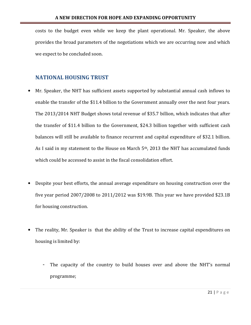costs to the budget even while we keep the plant operational. Mr. Speaker, the above provides the broad parameters of the negotiations which we are occurring now and which we expect to be concluded soon.

# NATIONAL HOUSING TRUST

- Mr. Speaker, the NHT has sufficient assets supported by substantial annual cash inflows to enable the transfer of the \$11.4 billion to the Government annually over the next four years. The 2013/2014 NHT Budget shows total revenue of \$35.7 billion, which indicates that after the transfer of \$11.4 billion to the Government, \$24.3 billion together with sufficient cash balances will still be available to finance recurrent and capital expenditure of \$32.1 billion. As I said in my statement to the House on March 5<sup>th</sup>, 2013 the NHT has accumulated funds which could be accessed to assist in the fiscal consolidation effort.
- Despite your best efforts, the annual average expenditure on housing construction over the five year period 2007/2008 to 2011/2012 was \$19.9B. This year we have provided \$23.1B for housing construction.
- The reality, Mr. Speaker is that the ability of the Trust to increase capital expenditures on housing is limited by:
	- The capacity of the country to build houses over and above the NHT's normal programme;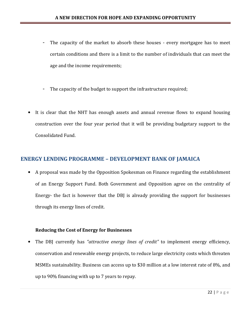- The capacity of the market to absorb these houses every mortgagee has to meet certain conditions and there is a limit to the number of individuals that can meet the age and the income requirements;
- The capacity of the budget to support the infrastructure required;
- It is clear that the NHT has enough assets and annual revenue flows to expand housing construction over the four year period that it will be providing budgetary support to the Consolidated Fund.

# ENERGY LENDING PROGRAMME – DEVELOPMENT BANK OF JAMAICA

• A proposal was made by the Opposition Spokesman on Finance regarding the establishment of an Energy Support Fund. Both Government and Opposition agree on the centrality of Energy- the fact is however that the DBJ is already providing the support for businesses through its energy lines of credit.

#### Reducing the Cost of Energy for Businesses

• The DBJ currently has "attractive energy lines of credit" to implement energy efficiency, conservation and renewable energy projects, to reduce large electricity costs which threaten MSMEs sustainability. Business can access up to \$30 million at a low interest rate of 8%, and up to 90% financing with up to 7 years to repay.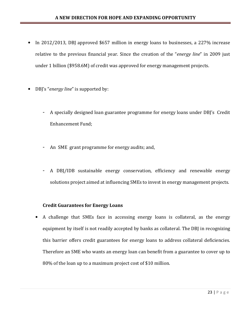#### A NEW DIRECTION FOR HOPE AND EXPANDING OPPORTUNITY

- In 2012/2013, DBJ approved \$657 million in energy loans to businesses, a 227% increase relative to the previous financial year. Since the creation of the "energy line" in 2009 just under 1 billion (\$958.6M) of credit was approved for energy management projects.
- DBJ's "energy line" is supported by:
	- A specially designed loan guarantee programme for energy loans under DBJ's Credit Enhancement Fund;
	- An SME grant programme for energy audits; and,
	- A DBJ/IDB sustainable energy conservation, efficiency and renewable energy solutions project aimed at influencing SMEs to invest in energy management projects.

#### Credit Guarantees for Energy Loans

• A challenge that SMEs face in accessing energy loans is collateral, as the energy equipment by itself is not readily accepted by banks as collateral. The DBJ in recognizing this barrier offers credit guarantees for energy loans to address collateral deficiencies. Therefore an SME who wants an energy loan can benefit from a guarantee to cover up to 80% of the loan up to a maximum project cost of \$10 million.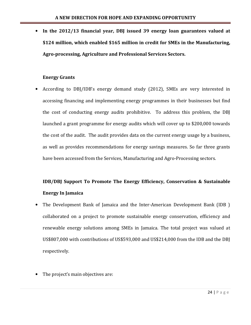• In the 2012/13 financial year, DBJ issued 39 energy loan guarantees valued at \$124 million, which enabled \$165 million in credit for SMEs in the Manufacturing, Agro-processing, Agriculture and Professional Services Sectors.

#### Energy Grants

• According to DBJ/IDB's energy demand study (2012), SMEs are very interested in accessing financing and implementing energy programmes in their businesses but find the cost of conducting energy audits prohibitive. To address this problem, the DBJ launched a grant programme for energy audits which will cover up to \$200,000 towards the cost of the audit. The audit provides data on the current energy usage by a business, as well as provides recommendations for energy savings measures. So far three grants have been accessed from the Services, Manufacturing and Agro-Processing sectors.

# IDB/DBJ Support To Promote The Energy Efficiency, Conservation & Sustainable Energy In Jamaica

- The Development Bank of Jamaica and the Inter-American Development Bank (IDB ) collaborated on a project to promote sustainable energy conservation, efficiency and renewable energy solutions among SMEs in Jamaica. The total project was valued at US\$807,000 with contributions of US\$593,000 and US\$214,000 from the IDB and the DBJ respectively.
- The project's main objectives are: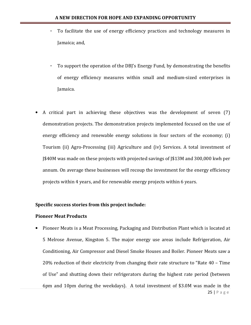- To facilitate the use of energy efficiency practices and technology measures in Jamaica; and,
- To support the operation of the DBJ's Energy Fund, by demonstrating the benefits of energy efficiency measures within small and medium-sized enterprises in Jamaica.
- A critical part in achieving these objectives was the development of seven (7) demonstration projects. The demonstration projects implemented focused on the use of energy efficiency and renewable energy solutions in four sectors of the economy; (i) Tourism (ii) Agro-Processing (iii) Agriculture and (iv) Services. A total investment of J\$40M was made on these projects with projected savings of J\$13M and 300,000 kwh per annum. On average these businesses will recoup the investment for the energy efficiency projects within 4 years, and for renewable energy projects within 6 years.

#### Specific success stories from this project include:

#### Pioneer Meat Products

• Pioneer Meats is a Meat Processing, Packaging and Distribution Plant which is located at 5 Melrose Avenue, Kingston 5. The major energy use areas include Refrigeration, Air Conditioning, Air Compressor and Diesel Smoke Houses and Boiler. Pioneer Meats saw a 20% reduction of their electricity from changing their rate structure to "Rate 40 – Time of Use" and shutting down their refrigerators during the highest rate period (between 6pm and 10pm during the weekdays). A total investment of \$3.0M was made in the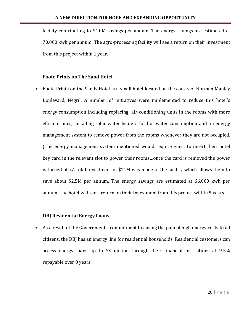facility contributing to \$4.0M savings per annum. The energy savings are estimated at 70,000 kwh per annum. The agro-processing facility will see a return on their investment from this project within 1 year.

#### Foote Prints on The Sand Hotel

• Foote Prints on the Sands Hotel is a small hotel located on the coasts of Norman Manley Boulevard, Negril. A number of initiatives were implemented to reduce this hotel's energy consumption including replacing air-conditioning units in the rooms with more efficient ones, installing solar water heaters for hot water consumption and an energy management system to remove power from the rooms whenever they are not occupied. (The energy management system mentioned would require guest to insert their hotel key card in the relevant slot to power their rooms…once the card is removed the power is turned off).A total investment of \$11M was made in the facility which allows them to save about \$2.5M per annum. The energy savings are estimated at 66,000 kwh per annum. The hotel will see a return on their investment from this project within 5 years.

#### DBJ Residential Energy Loans

As a result of the Government's commitment to easing the pain of high energy costs to all citizens, the DBJ has an energy line for residential households. Residential customers can access energy loans up to \$3 million through their financial institutions at 9.5% repayable over 8 years.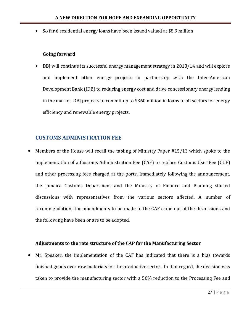• So far 6 residential energy loans have been issued valued at \$8.9 million

#### Going forward

• DBJ will continue its successful energy management strategy in 2013/14 and will explore and implement other energy projects in partnership with the Inter-American Development Bank (IDB) to reducing energy cost and drive concessionary energy lending in the market. DBJ projects to commit up to \$360 million in loans to all sectors for energy efficiency and renewable energy projects.

# CUSTOMS ADMINISTRATION FEE

• Members of the House will recall the tabling of Ministry Paper #15/13 which spoke to the implementation of a Customs Administration Fee (CAF) to replace Customs User Fee (CUF) and other processing fees charged at the ports. Immediately following the announcement, the Jamaica Customs Department and the Ministry of Finance and Planning started discussions with representatives from the various sectors affected. A number of recommendations for amendments to be made to the CAF came out of the discussions and the following have been or are to be adopted.

#### Adjustments to the rate structure of the CAP for the Manufacturing Sector

• Mr. Speaker, the implementation of the CAF has indicated that there is a bias towards finished goods over raw materials for the productive sector. In that regard, the decision was taken to provide the manufacturing sector with a 50% reduction to the Processing Fee and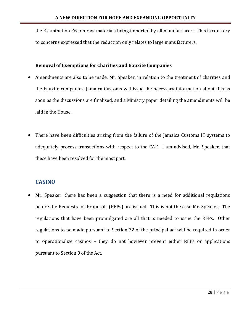the Examination Fee on raw materials being imported by all manufacturers. This is contrary to concerns expressed that the reduction only relates to large manufacturers.

#### Removal of Exemptions for Charities and Bauxite Companies

- Amendments are also to be made, Mr. Speaker, in relation to the treatment of charities and the bauxite companies. Jamaica Customs will issue the necessary information about this as soon as the discussions are finalised, and a Ministry paper detailing the amendments will be laid in the House.
- There have been difficulties arising from the failure of the Jamaica Customs IT systems to adequately process transactions with respect to the CAF. I am advised, Mr. Speaker, that these have been resolved for the most part.

# **CASINO**

• Mr. Speaker, there has been a suggestion that there is a need for additional regulations before the Requests for Proposals (RFPs) are issued. This is not the case Mr. Speaker. The regulations that have been promulgated are all that is needed to issue the RFPs. Other regulations to be made pursuant to Section 72 of the principal act will be required in order to operationalize casinos – they do not however prevent either RFPs or applications pursuant to Section 9 of the Act.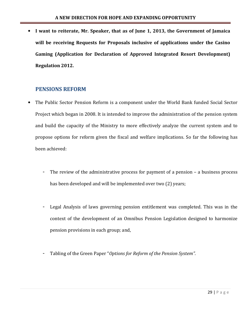• I want to reiterate, Mr. Speaker, that as of June 1, 2013, the Government of Jamaica will be receiving Requests for Proposals inclusive of applications under the Casino Gaming (Application for Declaration of Approved Integrated Resort Development) Regulation 2012.

# PENSIONS REFORM

- The Public Sector Pension Reform is a component under the World Bank funded Social Sector Project which began in 2008. It is intended to improve the administration of the pension system and build the capacity of the Ministry to more effectively analyze the current system and to propose options for reform given the fiscal and welfare implications. So far the following has been achieved:
	- The review of the administrative process for payment of a pension a business process has been developed and will be implemented over two (2) years;
	- Legal Analysis of laws governing pension entitlement was completed. This was in the context of the development of an Omnibus Pension Legislation designed to harmonize pension provisions in each group; and,
	- Tabling of the Green Paper "Options for Reform of the Pension System".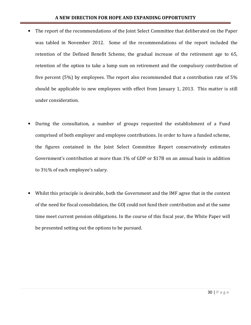- The report of the recommendations of the Joint Select Committee that deliberated on the Paper was tabled in November 2012. Some of the recommendations of the report included the retention of the Defined Benefit Scheme, the gradual increase of the retirement age to 65, retention of the option to take a lump sum on retirement and the compulsory contribution of five percent (5%) by employees. The report also recommended that a contribution rate of 5% should be applicable to new employees with effect from January 1, 2013. This matter is still under consideration.
- During the consultation, a number of groups requested the establishment of a Fund comprised of both employer and employee contributions. In order to have a funded scheme, the figures contained in the Joint Select Committee Report conservatively estimates Government's contribution at more than 1% of GDP or \$17B on an annual basis in addition to 3½% of each employee's salary.
- Whilst this principle is desirable, both the Government and the IMF agree that in the context of the need for fiscal consolidation, the GOJ could not fund their contribution and at the same time meet current pension obligations. In the course of this fiscal year, the White Paper will be presented setting out the options to be pursued.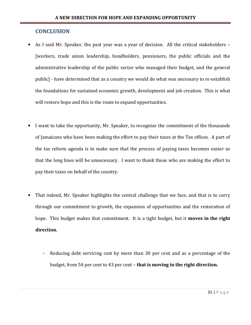## **CONCLUSION**

- As I said Mr. Speaker, the past year was a year of decision. All the critical stakeholders [workers, trade union leadership, bondholders, pensioners, the public officials and the administrative leadership of the public sector who managed their budget, and the general public] - have determined that as a country we would do what was necessary to re-establish the foundations for sustained economic growth, development and job creation. This is what will restore hope and this is the route to expand opportunities.
- I want to take the opportunity, Mr. Speaker, to recognize the commitment of the thousands of Jamaicans who have been making the effort to pay their taxes at the Tax offices. A part of the tax reform agenda is to make sure that the process of paying taxes becomes easier so that the long lines will be unnecessary. I want to thank those who are making the effort to pay their taxes on behalf of the country.
- That indeed, Mr. Speaker highlights the central challenge that we face, and that is to carry through our commitment to growth, the expansion of opportunities and the restoration of hope. This budget makes that commitment. It is a tight budget, but it **moves in the right** direction.
	- Reducing debt servicing cost by more than 30 per cent and as a percentage of the budget, from 54 per cent to 43 per cent – that is moving in the right direction.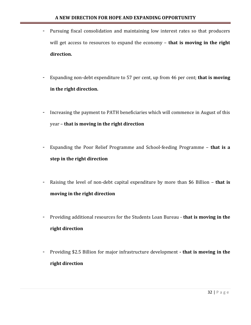- Pursuing fiscal consolidation and maintaining low interest rates so that producers will get access to resources to expand the economy - that is moving in the right direction.
- Expanding non-debt expenditure to 57 per cent, up from 46 per cent; that is moving in the right direction.
- Increasing the payment to PATH beneficiaries which will commence in August of this year – that is moving in the right direction
- Expanding the Poor Relief Programme and School-feeding Programme that is a step in the right direction
- Raising the level of non-debt capital expenditure by more than \$6 Billion that is moving in the right direction
- Providing additional resources for the Students Loan Bureau that is moving in the right direction
- Providing \$2.5 Billion for major infrastructure development that is moving in the right direction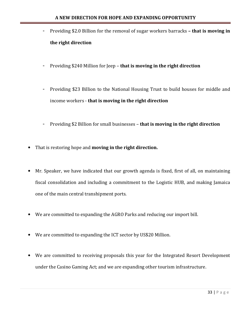- Providing \$2.0 Billion for the removal of sugar workers barracks that is moving in the right direction
- Providing \$240 Million for Jeep that is moving in the right direction
- Providing \$23 Billion to the National Housing Trust to build houses for middle and income workers - that is moving in the right direction
- Providing \$2 Billion for small businesses that is moving in the right direction
- That is restoring hope and moving in the right direction.
- Mr. Speaker, we have indicated that our growth agenda is fixed, first of all, on maintaining fiscal consolidation and including a commitment to the Logistic HUB, and making Jamaica one of the main central transhipment ports.
- We are committed to expanding the AGRO Parks and reducing our import bill.
- We are committed to expanding the ICT sector by US\$20 Million.
- We are committed to receiving proposals this year for the Integrated Resort Development under the Casino Gaming Act; and we are expanding other tourism infrastructure.